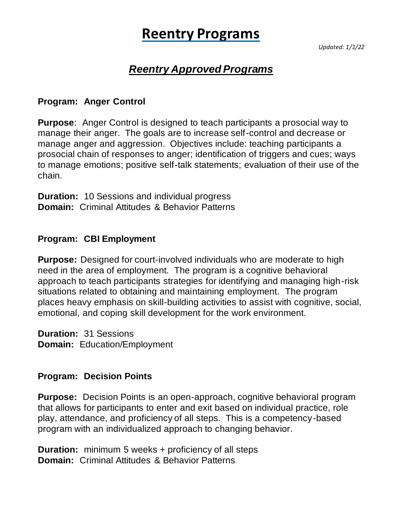# **Reentry Programs**

*Updated: 1/1/22*

# *Reentry Approved Programs*

#### **Program: Anger Control**

**Purpose**: Anger Control is designed to teach participants a prosocial way to manage their anger. The goals are to increase self-control and decrease or manage anger and aggression. Objectives include: teaching participants a prosocial chain of responses to anger; identification of triggers and cues; ways to manage emotions; positive self-talk statements; evaluation of their use of the chain.

**Duration:** 10 Sessions and individual progress **Domain:** Criminal Attitudes & Behavior Patterns

#### **Program: CBI Employment**

**Purpose:** Designed for court-involved individuals who are moderate to high need in the area of employment. The program is a cognitive behavioral approach to teach participants strategies for identifying and managing high-risk situations related to obtaining and maintaining employment. The program places heavy emphasis on skill-building activities to assist with cognitive, social, emotional, and coping skill development for the work environment.

**Duration:** 31 Sessions **Domain:** Education/Employment

#### **Program: Decision Points**

**Purpose:** Decision Points is an open-approach, cognitive behavioral program that allows for participants to enter and exit based on individual practice, role play, attendance, and proficiency of all steps. This is a competency-based program with an individualized approach to changing behavior.

**Duration:** minimum 5 weeks + proficiency of all steps **Domain:** Criminal Attitudes & Behavior Patterns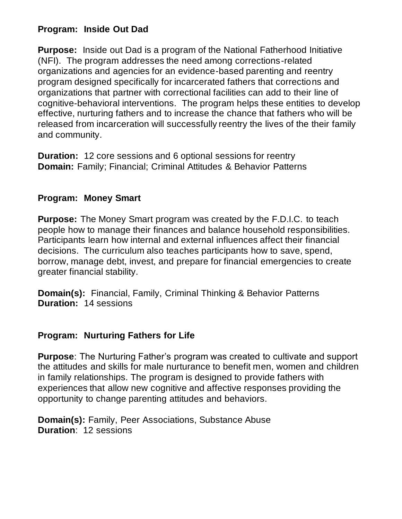# **Program: Inside Out Dad**

**Purpose:** Inside out Dad is a program of the National Fatherhood Initiative (NFI). The program addresses the need among corrections-related organizations and agencies for an evidence-based parenting and reentry program designed specifically for incarcerated fathers that corrections and organizations that partner with correctional facilities can add to their line of cognitive-behavioral interventions. The program helps these entities to develop effective, nurturing fathers and to increase the chance that fathers who will be released from incarceration will successfully reentry the lives of the their family and community.

**Duration:** 12 core sessions and 6 optional sessions for reentry **Domain:** Family; Financial; Criminal Attitudes & Behavior Patterns

## **Program: Money Smart**

**Purpose:** The Money Smart program was created by the F.D.I.C. to teach people how to manage their finances and balance household responsibilities. Participants learn how internal and external influences affect their financial decisions. The curriculum also teaches participants how to save, spend, borrow, manage debt, invest, and prepare for financial emergencies to create greater financial stability.

**Domain(s):** Financial, Family, Criminal Thinking & Behavior Patterns **Duration:** 14 sessions

## **Program: Nurturing Fathers for Life**

**Purpose**: The Nurturing Father's program was created to cultivate and support the attitudes and skills for male nurturance to benefit men, women and children in family relationships. The program is designed to provide fathers with experiences that allow new cognitive and affective responses providing the opportunity to change parenting attitudes and behaviors.

**Domain(s):** Family, Peer Associations, Substance Abuse **Duration**: 12 sessions